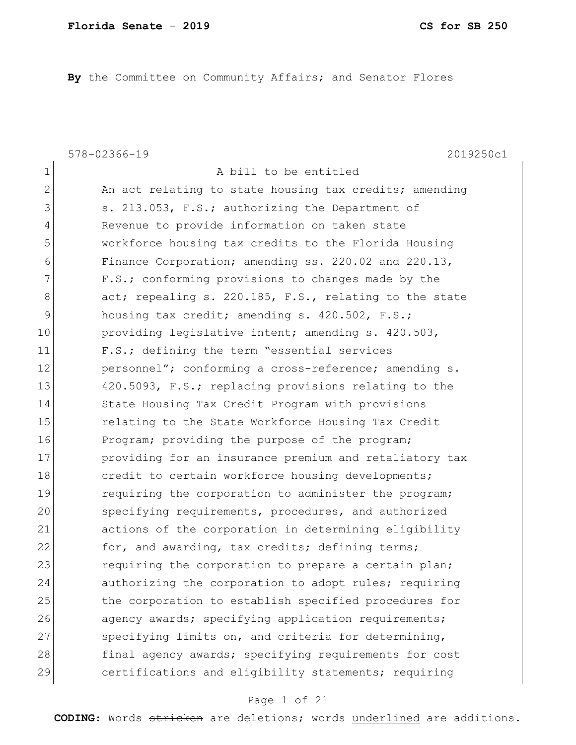**By** the Committee on Community Affairs; and Senator Flores

578-02366-19 2019250c1 1 a bill to be entitled 2 An act relating to state housing tax credits; amending 3 s. 213.053, F.S.; authorizing the Department of 4 Revenue to provide information on taken state 5 workforce housing tax credits to the Florida Housing 6 Finance Corporation; amending ss. 220.02 and 220.13, 7 F.S.; conforming provisions to changes made by the 8 act; repealing s. 220.185, F.S., relating to the state 9 housing tax credit; amending s. 420.502, F.S.; 10 **providing legislative intent; amending s. 420.503,** 11 F.S.; defining the term "essential services 12 personnel"; conforming a cross-reference; amending s. 13 420.5093, F.S.; replacing provisions relating to the 14 State Housing Tax Credit Program with provisions 15 15 relating to the State Workforce Housing Tax Credit 16 Program; providing the purpose of the program; 17 providing for an insurance premium and retaliatory tax 18 credit to certain workforce housing developments; 19 19 requiring the corporation to administer the program; 20 Specifying requirements, procedures, and authorized 21 actions of the corporation in determining eligibility 22 for, and awarding, tax credits; defining terms; 23 requiring the corporation to prepare a certain plan; 24 authorizing the corporation to adopt rules; requiring 25 the corporation to establish specified procedures for 26 agency awards; specifying application requirements; 27 Specifying limits on, and criteria for determining, 28 final agency awards; specifying requirements for cost 29 certifications and eligibility statements; requiring

### Page 1 of 21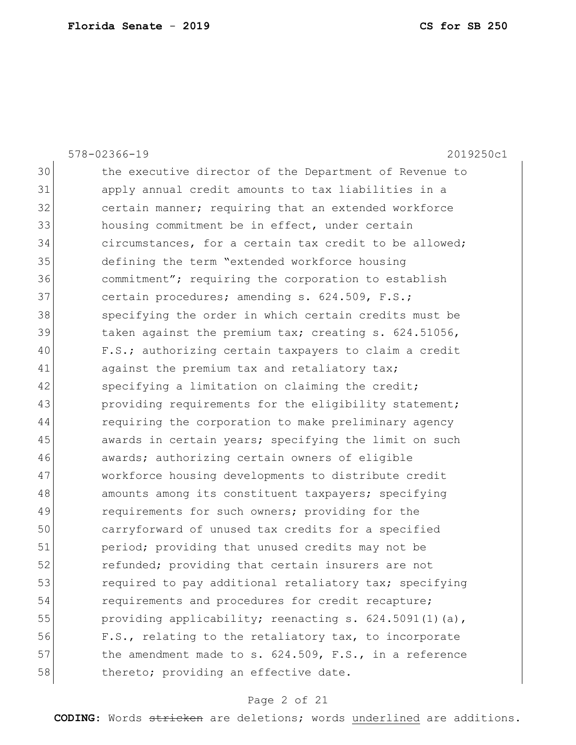|    | 2019250c1<br>578-02366-19                                   |
|----|-------------------------------------------------------------|
| 30 | the executive director of the Department of Revenue to      |
| 31 | apply annual credit amounts to tax liabilities in a         |
| 32 | certain manner; requiring that an extended workforce        |
| 33 | housing commitment be in effect, under certain              |
| 34 | circumstances, for a certain tax credit to be allowed;      |
| 35 | defining the term "extended workforce housing               |
| 36 | commitment"; requiring the corporation to establish         |
| 37 | certain procedures; amending s. 624.509, F.S.;              |
| 38 | specifying the order in which certain credits must be       |
| 39 | taken against the premium tax; creating s. 624.51056,       |
| 40 | F.S.; authorizing certain taxpayers to claim a credit       |
| 41 | against the premium tax and retaliatory tax;                |
| 42 | specifying a limitation on claiming the credit;             |
| 43 | providing requirements for the eligibility statement;       |
| 44 | requiring the corporation to make preliminary agency        |
| 45 | awards in certain years; specifying the limit on such       |
| 46 | awards; authorizing certain owners of eligible              |
| 47 | workforce housing developments to distribute credit         |
| 48 | amounts among its constituent taxpayers; specifying         |
| 49 | requirements for such owners; providing for the             |
| 50 | carryforward of unused tax credits for a specified          |
| 51 | period; providing that unused credits may not be            |
| 52 | refunded; providing that certain insurers are not           |
| 53 | required to pay additional retaliatory tax; specifying      |
| 54 | requirements and procedures for credit recapture;           |
| 55 | providing applicability; reenacting s. 624.5091(1)(a),      |
| 56 | F.S., relating to the retaliatory tax, to incorporate       |
| 57 | the amendment made to $s. 624.509$ , $F.S.,$ in a reference |
| 58 | thereto; providing an effective date.                       |
|    |                                                             |

# Page 2 of 21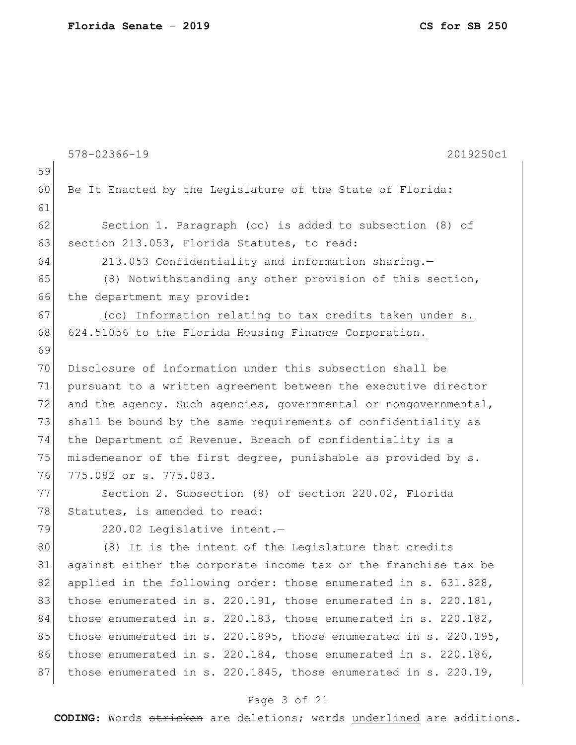|    | 2019250c1<br>578-02366-19                                             |
|----|-----------------------------------------------------------------------|
| 59 |                                                                       |
| 60 | Be It Enacted by the Legislature of the State of Florida:             |
| 61 |                                                                       |
| 62 | Section 1. Paragraph (cc) is added to subsection (8) of               |
| 63 | section 213.053, Florida Statutes, to read:                           |
| 64 | 213.053 Confidentiality and information sharing.-                     |
| 65 | (8) Notwithstanding any other provision of this section,              |
| 66 | the department may provide:                                           |
| 67 | (cc) Information relating to tax credits taken under s.               |
| 68 | 624.51056 to the Florida Housing Finance Corporation.                 |
| 69 |                                                                       |
| 70 | Disclosure of information under this subsection shall be              |
| 71 | pursuant to a written agreement between the executive director        |
| 72 | and the agency. Such agencies, governmental or nongovernmental,       |
| 73 | shall be bound by the same requirements of confidentiality as         |
| 74 | the Department of Revenue. Breach of confidentiality is a             |
| 75 | misdemeanor of the first degree, punishable as provided by s.         |
| 76 | 775.082 or s. 775.083.                                                |
| 77 | Section 2. Subsection (8) of section 220.02, Florida                  |
| 78 | Statutes, is amended to read:                                         |
| 79 | 220.02 Legislative intent.-                                           |
| 80 | (8) It is the intent of the Legislature that credits                  |
| 81 | against either the corporate income tax or the franchise tax be       |
| 82 | applied in the following order: those enumerated in s. 631.828,       |
| 83 | those enumerated in s. 220.191, those enumerated in s. 220.181,       |
| 84 | those enumerated in s. 220.183, those enumerated in s. 220.182,       |
| 85 | those enumerated in s. 220.1895, those enumerated in s. 220.195,      |
| 86 | those enumerated in s. $220.184$ , those enumerated in s. $220.186$ , |
| 87 | those enumerated in s. 220.1845, those enumerated in s. 220.19,       |
|    |                                                                       |

# Page 3 of 21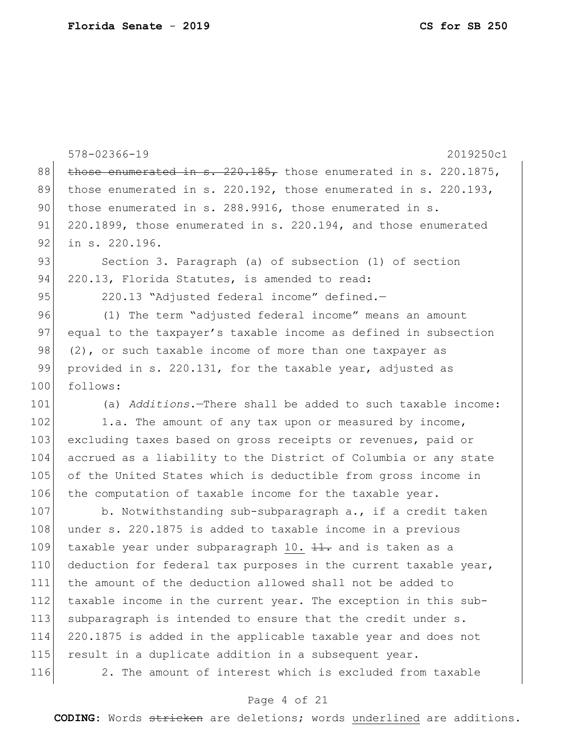|     | 578-02366-19<br>2019250c1                                                |
|-----|--------------------------------------------------------------------------|
| 88  | those enumerated in $\sigma$ . 220.185, those enumerated in s. 220.1875, |
| 89  | those enumerated in s. $220.192$ , those enumerated in s. $220.193$ ,    |
| 90  | those enumerated in s. 288.9916, those enumerated in s.                  |
| 91  | 220.1899, those enumerated in s. 220.194, and those enumerated           |
| 92  | in s. 220.196.                                                           |
| 93  | Section 3. Paragraph (a) of subsection (1) of section                    |
| 94  | 220.13, Florida Statutes, is amended to read:                            |
| 95  | 220.13 "Adjusted federal income" defined.-                               |
| 96  | (1) The term "adjusted federal income" means an amount                   |
| 97  | equal to the taxpayer's taxable income as defined in subsection          |
| 98  | (2), or such taxable income of more than one taxpayer as                 |
| 99  | provided in s. 220.131, for the taxable year, adjusted as                |
| 100 | follows:                                                                 |
| 101 | (a) Additions. - There shall be added to such taxable income:            |
| 102 | 1.a. The amount of any tax upon or measured by income,                   |
| 103 | excluding taxes based on gross receipts or revenues, paid or             |
| 104 | accrued as a liability to the District of Columbia or any state          |
| 105 | of the United States which is deductible from gross income in            |
| 106 | the computation of taxable income for the taxable year.                  |
| 107 | b. Notwithstanding sub-subparagraph a., if a credit taken                |
| 108 | under s. 220.1875 is added to taxable income in a previous               |
| 109 | taxable year under subparagraph 10. $\frac{11}{11}$ and is taken as a    |
| 110 | deduction for federal tax purposes in the current taxable year,          |
| 111 | the amount of the deduction allowed shall not be added to                |
| 112 | taxable income in the current year. The exception in this sub-           |
| 113 | subparagraph is intended to ensure that the credit under s.              |
| 114 | 220.1875 is added in the applicable taxable year and does not            |
| 115 | result in a duplicate addition in a subsequent year.                     |
| 116 | 2. The amount of interest which is excluded from taxable                 |

# Page 4 of 21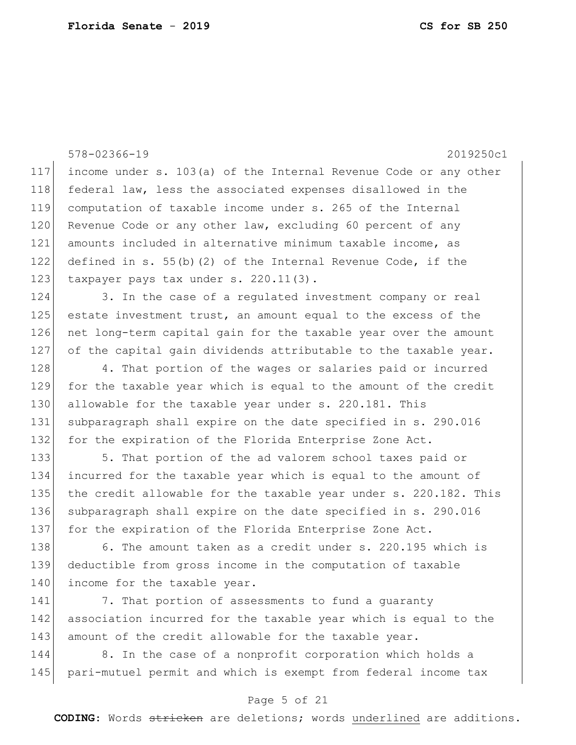578-02366-19 2019250c1 117 income under s. 103(a) of the Internal Revenue Code or any other 118 federal law, less the associated expenses disallowed in the 119 computation of taxable income under s. 265 of the Internal 120 Revenue Code or any other law, excluding 60 percent of any 121 amounts included in alternative minimum taxable income, as 122 defined in s. 55(b)(2) of the Internal Revenue Code, if the 123 taxpayer pays tax under s. 220.11(3). 124 3. In the case of a regulated investment company or real 125 estate investment trust, an amount equal to the excess of the 126 net long-term capital gain for the taxable year over the amount 127 of the capital gain dividends attributable to the taxable year. 128 4. That portion of the wages or salaries paid or incurred 129 for the taxable year which is equal to the amount of the credit 130 allowable for the taxable year under s. 220.181. This 131 subparagraph shall expire on the date specified in s. 290.016 132 for the expiration of the Florida Enterprise Zone Act. 133 5. That portion of the ad valorem school taxes paid or 134 incurred for the taxable year which is equal to the amount of 135 the credit allowable for the taxable year under s. 220.182. This 136 subparagraph shall expire on the date specified in s. 290.016 137 for the expiration of the Florida Enterprise Zone Act. 138 6. The amount taken as a credit under s. 220.195 which is 139 deductible from gross income in the computation of taxable 140 income for the taxable year. 141 7. That portion of assessments to fund a quaranty 142 association incurred for the taxable year which is equal to the 143 amount of the credit allowable for the taxable year.

144 8. In the case of a nonprofit corporation which holds a 145 pari-mutuel permit and which is exempt from federal income tax

### Page 5 of 21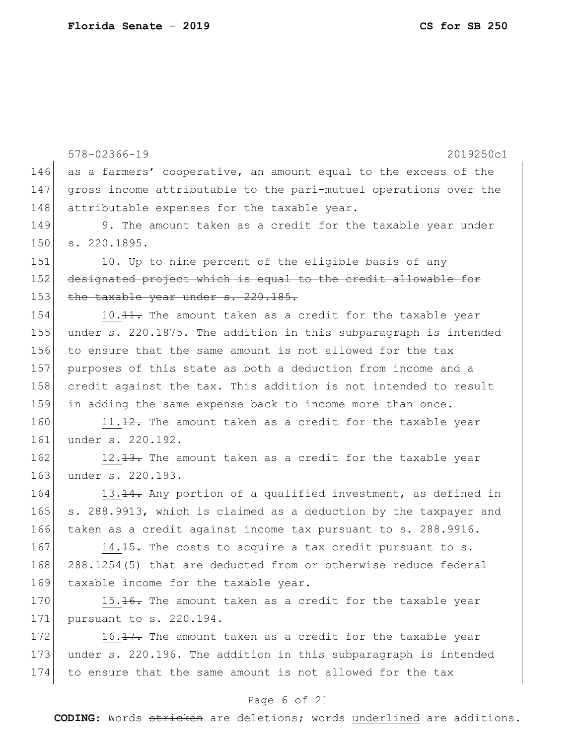578-02366-19 2019250c1 Page 6 of 21 146 as a farmers' cooperative, an amount equal to the excess of the 147 gross income attributable to the pari-mutuel operations over the 148 attributable expenses for the taxable year. 149 9. The amount taken as a credit for the taxable year under 150 s. 220.1895. 151 10. Up to nine percent of the eligible basis of any 152 designated project which is equal to the credit allowable for 153 the taxable year under s. 220.185. 154 10.11. The amount taken as a credit for the taxable year 155 under s. 220.1875. The addition in this subparagraph is intended 156 to ensure that the same amount is not allowed for the tax 157 purposes of this state as both a deduction from income and a 158 credit against the tax. This addition is not intended to result 159 in adding the same expense back to income more than once. 160 11. $\frac{12}{12}$ . The amount taken as a credit for the taxable year 161 under s. 220.192. 162 12.13. The amount taken as a credit for the taxable year 163 under s. 220.193. 164 13.<del>14.</del> Any portion of a qualified investment, as defined in 165 | s. 288.9913, which is claimed as a deduction by the taxpayer and 166 taken as a credit against income tax pursuant to s. 288.9916. 167 14.15. The costs to acquire a tax credit pursuant to s. 168 288.1254(5) that are deducted from or otherwise reduce federal 169 taxable income for the taxable year. 170 15.16. The amount taken as a credit for the taxable year 171 pursuant to s. 220.194. 172 16.17. The amount taken as a credit for the taxable year 173 under s. 220.196. The addition in this subparagraph is intended 174 to ensure that the same amount is not allowed for the tax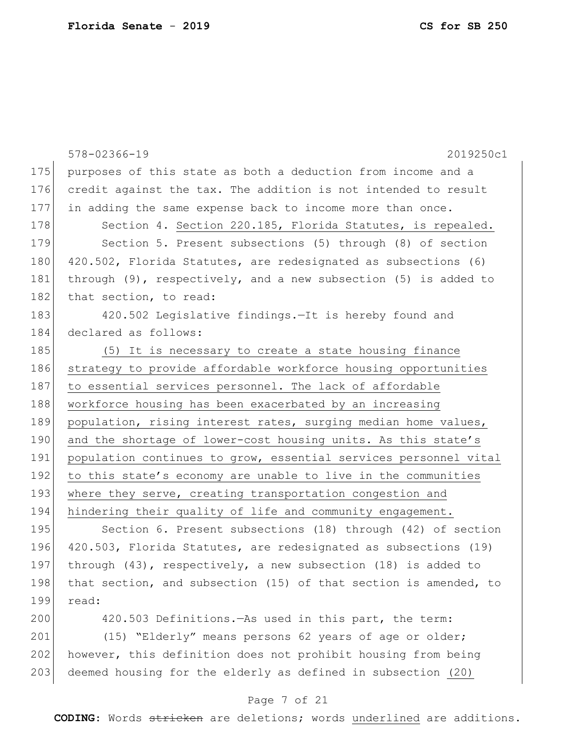|     | 578-02366-19<br>2019250c1                                            |
|-----|----------------------------------------------------------------------|
| 175 | purposes of this state as both a deduction from income and a         |
| 176 | credit against the tax. The addition is not intended to result       |
| 177 | in adding the same expense back to income more than once.            |
| 178 | Section 4. Section 220.185, Florida Statutes, is repealed.           |
| 179 | Section 5. Present subsections (5) through (8) of section            |
| 180 | 420.502, Florida Statutes, are redesignated as subsections (6)       |
| 181 | through $(9)$ , respectively, and a new subsection $(5)$ is added to |
| 182 | that section, to read:                                               |
| 183 | 420.502 Legislative findings.-It is hereby found and                 |
| 184 | declared as follows:                                                 |
| 185 | (5) It is necessary to create a state housing finance                |
| 186 | strategy to provide affordable workforce housing opportunities       |
| 187 | to essential services personnel. The lack of affordable              |
| 188 | workforce housing has been exacerbated by an increasing              |
| 189 | population, rising interest rates, surging median home values,       |
| 190 | and the shortage of lower-cost housing units. As this state's        |
| 191 | population continues to grow, essential services personnel vital     |
| 192 | to this state's economy are unable to live in the communities        |
| 193 | where they serve, creating transportation congestion and             |
| 194 | hindering their quality of life and community engagement.            |
| 195 | Section 6. Present subsections (18) through (42) of section          |
| 196 | 420.503, Florida Statutes, are redesignated as subsections (19)      |
| 197 | through (43), respectively, a new subsection (18) is added to        |
| 198 | that section, and subsection (15) of that section is amended, to     |
| 199 | read:                                                                |
| 200 | 420.503 Definitions. - As used in this part, the term:               |
|     |                                                                      |

201 (15) "Elderly" means persons 62 years of age or older; 202 however, this definition does not prohibit housing from being 203 deemed housing for the elderly as defined in subsection  $(20)$ 

### Page 7 of 21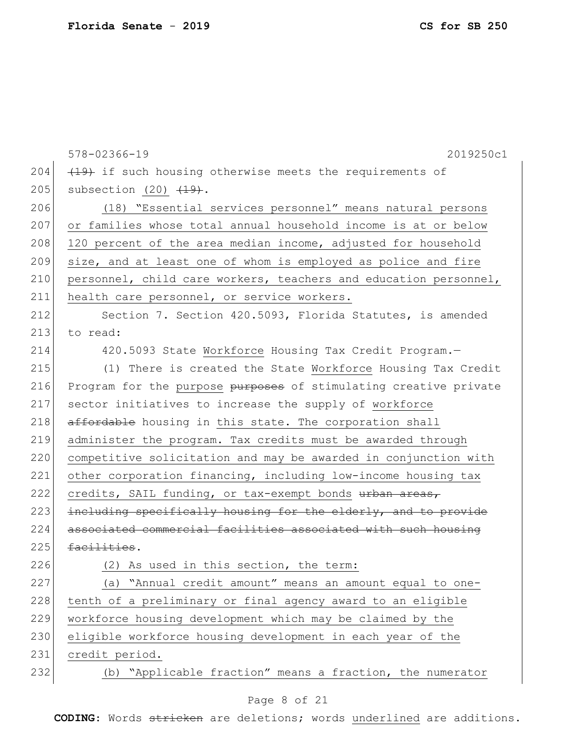578-02366-19 2019250c1 204  $(19)$  if such housing otherwise meets the requirements of 205 subsection  $(20)$   $\overline{(19)}$ . 206 (18) "Essential services personnel" means natural persons 207 or families whose total annual household income is at or below  $208$  120 percent of the area median income, adjusted for household 209 size, and at least one of whom is employed as police and fire 210 personnel, child care workers, teachers and education personnel, 211 health care personnel, or service workers. 212 Section 7. Section 420.5093, Florida Statutes, is amended 213 to read: 214 420.5093 State Workforce Housing Tax Credit Program.-215 (1) There is created the State Workforce Housing Tax Credit 216 Program for the purpose purposes of stimulating creative private 217 sector initiatives to increase the supply of workforce 218 affordable housing in this state. The corporation shall 219 administer the program. Tax credits must be awarded through 220 competitive solicitation and may be awarded in conjunction with 221 other corporation financing, including low-income housing tax 222 credits, SAIL funding, or tax-exempt bonds urban areas, 223 including specifically housing for the elderly, and to provide 224 associated commercial facilities associated with such housing  $225$  facilities. 226 (2) As used in this section, the term: 227 (a) "Annual credit amount" means an amount equal to one-228 tenth of a preliminary or final agency award to an eligible 229 workforce housing development which may be claimed by the 230 eligible workforce housing development in each year of the 231 credit period. 232 (b) "Applicable fraction" means a fraction, the numerator

### Page 8 of 21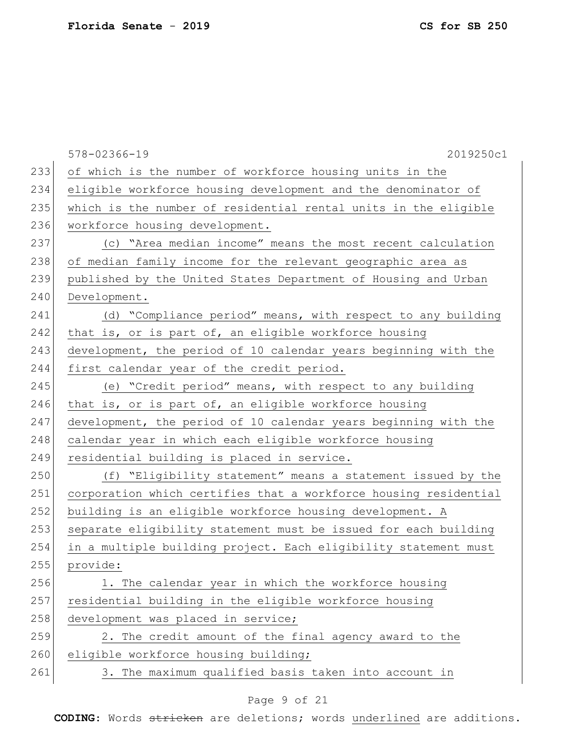578-02366-19 2019250c1 233 of which is the number of workforce housing units in the 234 eligible workforce housing development and the denominator of 235 which is the number of residential rental units in the eligible 236 workforce housing development. 237 (c) "Area median income" means the most recent calculation 238 of median family income for the relevant geographic area as 239 published by the United States Department of Housing and Urban 240 Development. 241 (d) "Compliance period" means, with respect to any building 242 that is, or is part of, an eligible workforce housing 243 development, the period of 10 calendar years beginning with the 244 first calendar year of the credit period. 245 (e) "Credit period" means, with respect to any building 246 that is, or is part of, an eligible workforce housing 247 development, the period of 10 calendar years beginning with the 248 calendar year in which each eligible workforce housing 249 residential building is placed in service. 250 (f) "Eligibility statement" means a statement issued by the 251 corporation which certifies that a workforce housing residential 252 building is an eligible workforce housing development. A 253 separate eligibility statement must be issued for each building 254 in a multiple building project. Each eligibility statement must 255 provide: 256 1. The calendar year in which the workforce housing 257 residential building in the eligible workforce housing 258 development was placed in service;  $259$  2. The credit amount of the final agency award to the 260 eligible workforce housing building; 261 3. The maximum qualified basis taken into account in

### Page 9 of 21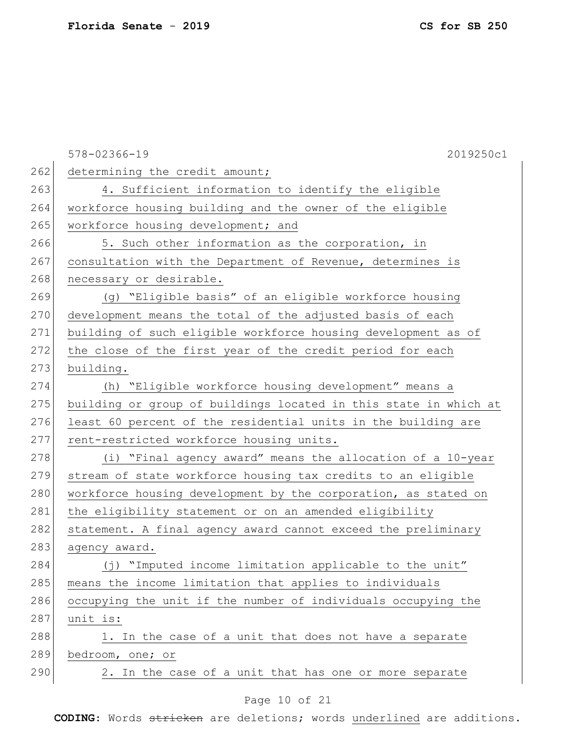578-02366-19 2019250c1 262 determining the credit amount; 263 4. Sufficient information to identify the eligible 264 workforce housing building and the owner of the eligible 265 workforce housing development; and 266 5. Such other information as the corporation, in 267 consultation with the Department of Revenue, determines is 268 necessary or desirable. 269 (g) "Eligible basis" of an eligible workforce housing 270 development means the total of the adjusted basis of each 271 building of such eligible workforce housing development as of 272 the close of the first year of the credit period for each 273 building. 274 (h) "Eligible workforce housing development" means a 275 building or group of buildings located in this state in which at 276 least 60 percent of the residential units in the building are 277 rent-restricted workforce housing units. 278 (i) "Final agency award" means the allocation of a 10-year 279 stream of state workforce housing tax credits to an eligible 280 workforce housing development by the corporation, as stated on 281 the eligibility statement or on an amended eligibility 282 statement. A final agency award cannot exceed the preliminary 283 agency award. 284 (j) "Imputed income limitation applicable to the unit" 285 means the income limitation that applies to individuals 286 occupying the unit if the number of individuals occupying the  $287$  unit is:  $288$  1. In the case of a unit that does not have a separate 289 bedroom, one; or 290 2. In the case of a unit that has one or more separate

### Page 10 of 21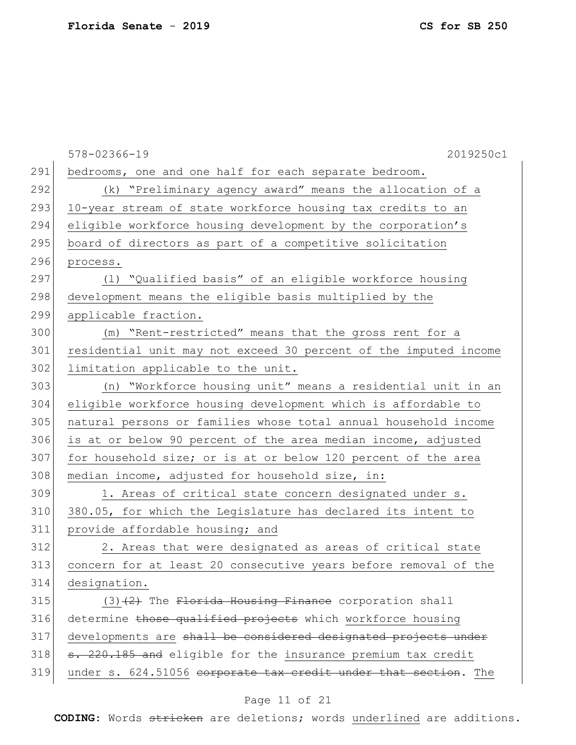578-02366-19 2019250c1 291 bedrooms, one and one half for each separate bedroom. 292 (k) "Preliminary agency award" means the allocation of a 293 10-year stream of state workforce housing tax credits to an 294 eligible workforce housing development by the corporation's 295 board of directors as part of a competitive solicitation 296 process. 297 (1) "Qualified basis" of an eligible workforce housing 298 development means the eligible basis multiplied by the 299 applicable fraction. 300 (m) "Rent-restricted" means that the gross rent for a 301 residential unit may not exceed 30 percent of the imputed income 302 limitation applicable to the unit. 303 (n) "Workforce housing unit" means a residential unit in an 304 eligible workforce housing development which is affordable to 305 natural persons or families whose total annual household income 306 is at or below 90 percent of the area median income, adjusted 307 for household size; or is at or below 120 percent of the area 308 median income, adjusted for household size, in: 309 1. Areas of critical state concern designated under s. 310 380.05, for which the Legislature has declared its intent to 311 provide affordable housing; and 312 2. Areas that were designated as areas of critical state 313 concern for at least 20 consecutive years before removal of the 314 designation.  $315$  (3)<del>(2)</del> The Florida Housing Finance corporation shall 316 determine those qualified projects which workforce housing 317 developments are shall be considered designated projects under  $318$  s. 220.185 and eligible for the insurance premium tax credit 319 under s. 624.51056 corporate tax credit under that section. The

### Page 11 of 21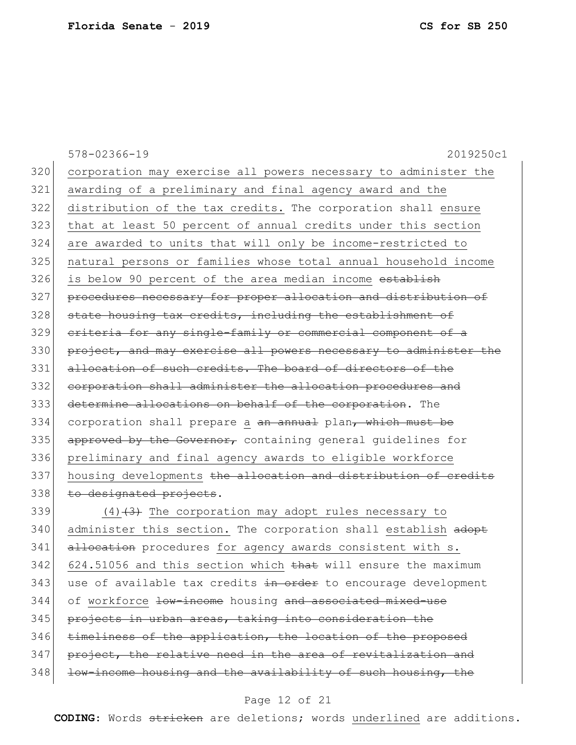578-02366-19 2019250c1 320 corporation may exercise all powers necessary to administer the 321 awarding of a preliminary and final agency award and the 322 distribution of the tax credits. The corporation shall ensure 323 that at least 50 percent of annual credits under this section 324 are awarded to units that will only be income-restricted to 325 natural persons or families whose total annual household income 326 is below 90 percent of the area median income establish 327 procedures necessary for proper allocation and distribution of 328 state housing tax credits, including the establishment of 329 criteria for any single-family or commercial component of a 330 project, and may exercise all powers necessary to administer the 331 allocation of such credits. The board of directors of the 332 corporation shall administer the allocation procedures and 333 determine allocations on behalf of the corporation. The 334 corporation shall prepare a an annual plan, which must be 335 approved by the Governor, containing general quidelines for 336 preliminary and final agency awards to eligible workforce 337 housing developments the allocation and distribution of credits 338 to designated projects. 339  $(4)$   $(3)$  The corporation may adopt rules necessary to 340 administer this section. The corporation shall establish adopt 341 allocation procedures for agency awards consistent with s.  $342$  624.51056 and this section which that will ensure the maximum  $343$  use of available tax credits  $\frac{1}{2}$  and  $\frac{1}{2}$  to encourage development

344 of workforce low-income housing and associated mixed-use

345 projects in urban areas, taking into consideration the

346 timeliness of the application, the location of the proposed

347 project, the relative need in the area of revitalization and

348 low-income housing and the availability of such housing, the

#### Page 12 of 21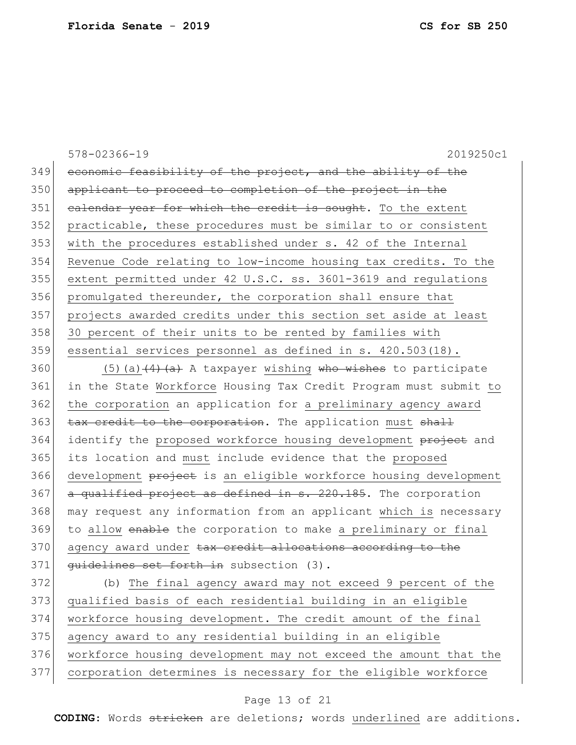578-02366-19 2019250c1 349 economic feasibility of the project, and the ability of the 350 applicant to proceed to completion of the project in the 351 calendar year for which the credit is sought. To the extent 352 practicable, these procedures must be similar to or consistent 353 with the procedures established under s. 42 of the Internal 354 Revenue Code relating to low-income housing tax credits. To the 355 extent permitted under 42 U.S.C. ss. 3601-3619 and regulations 356 promulgated thereunder, the corporation shall ensure that 357 projects awarded credits under this section set aside at least 358 30 percent of their units to be rented by families with 359 essential services personnel as defined in s. 420.503(18).

360 (5)(a)  $(4)$  (a) A taxpayer wishing who wishes to participate 361 in the State Workforce Housing Tax Credit Program must submit to 362 the corporation an application for a preliminary agency award 363 tax credit to the corporation. The application must shall 364 identify the proposed workforce housing development project and 365 its location and must include evidence that the proposed 366 development project is an eligible workforce housing development  $367$  a qualified project as defined in s. 220.185. The corporation 368 | may request any information from an applicant which is necessary 369 to allow enable the corporation to make a preliminary or final 370 agency award under tax credit allocations according to the 371 <del>quidelines set forth in</del> subsection (3).

 (b) The final agency award may not exceed 9 percent of the qualified basis of each residential building in an eligible workforce housing development. The credit amount of the final agency award to any residential building in an eligible workforce housing development may not exceed the amount that the corporation determines is necessary for the eligible workforce

### Page 13 of 21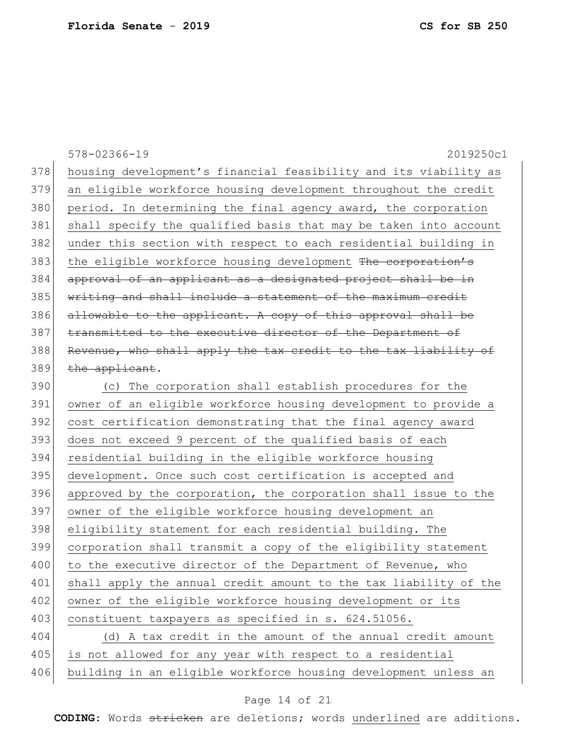|     | 578-02366-19<br>2019250c1                                        |
|-----|------------------------------------------------------------------|
| 378 | housing development's financial feasibility and its viability as |
| 379 | an eligible workforce housing development throughout the credit  |
| 380 | period. In determining the final agency award, the corporation   |
| 381 | shall specify the qualified basis that may be taken into account |
| 382 | under this section with respect to each residential building in  |
| 383 | the eligible workforce housing development The corporation's     |
| 384 | approval of an applicant as a designated project shall be in     |
| 385 | writing and shall include a statement of the maximum credit      |
| 386 | allowable to the applicant. A copy of this approval shall be     |
| 387 | transmitted to the executive director of the Department of       |
| 388 | Revenue, who shall apply the tax credit to the tax liability of  |
| 389 | the applicant.                                                   |
| 390 | (c) The corporation shall establish procedures for the           |
| 391 | owner of an eligible workforce housing development to provide a  |
| 392 | cost certification demonstrating that the final agency award     |
| 393 | does not exceed 9 percent of the qualified basis of each         |
| 394 | residential building in the eligible workforce housing           |
| 395 | development. Once such cost certification is accepted and        |
| 396 | approved by the corporation, the corporation shall issue to the  |
| 397 | owner of the eligible workforce housing development an           |
| 398 | eligibility statement for each residential building. The         |
| 399 | corporation shall transmit a copy of the eligibility statement   |
| 400 | to the executive director of the Department of Revenue, who      |
| 401 | shall apply the annual credit amount to the tax liability of the |
| 402 | owner of the eligible workforce housing development or its       |
| 403 | constituent taxpayers as specified in s. 624.51056.              |
| 404 | (d) A tax credit in the amount of the annual credit amount       |
| 405 | is not allowed for any year with respect to a residential        |
| 406 | building in an eligible workforce housing development unless an  |

# Page 14 of 21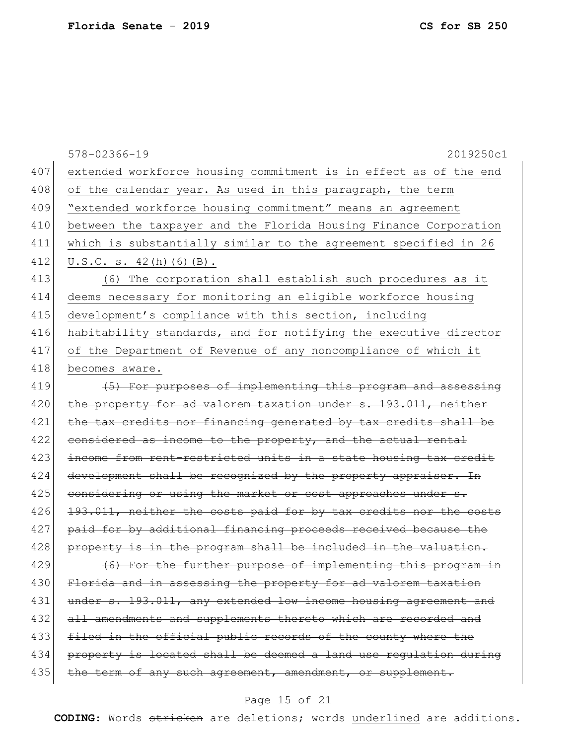578-02366-19 2019250c1 407 extended workforce housing commitment is in effect as of the end 408 of the calendar year. As used in this paragraph, the term 409 "extended workforce housing commitment" means an agreement 410 between the taxpayer and the Florida Housing Finance Corporation 411 which is substantially similar to the agreement specified in 26 412 U.S.C. s.  $42(h)(6)(B)$ . 413 (6) The corporation shall establish such procedures as it 414 deems necessary for monitoring an eligible workforce housing 415 development's compliance with this section, including 416 habitability standards, and for notifying the executive director 417 of the Department of Revenue of any noncompliance of which it 418 becomes aware. 419 (5) For purposes of implementing this program and assessing 420 the property for ad valorem taxation under s. 193.011, neither 421 the tax credits nor financing generated by tax credits shall be  $422$  considered as income to the property, and the actual rental 423 income from rent-restricted units in a state housing tax credit 424 development shall be recognized by the property appraiser. In 425 considering or using the market or cost approaches under s. 426 193.011, neither the costs paid for by tax credits nor the costs 427 paid for by additional financing proceeds received because the 428 property is in the program shall be included in the valuation.  $429$  (46) For the further purpose of implementing this program in 430 Florida and in assessing the property for ad valorem taxation 431 under s. 193.011, any extended low income housing agreement and 432 all amendments and supplements thereto which are recorded and 433 filed in the official public records of the county where the 434 property is located shall be deemed a land use regulation during 435 the term of any such agreement, amendment, or supplement.

### Page 15 of 21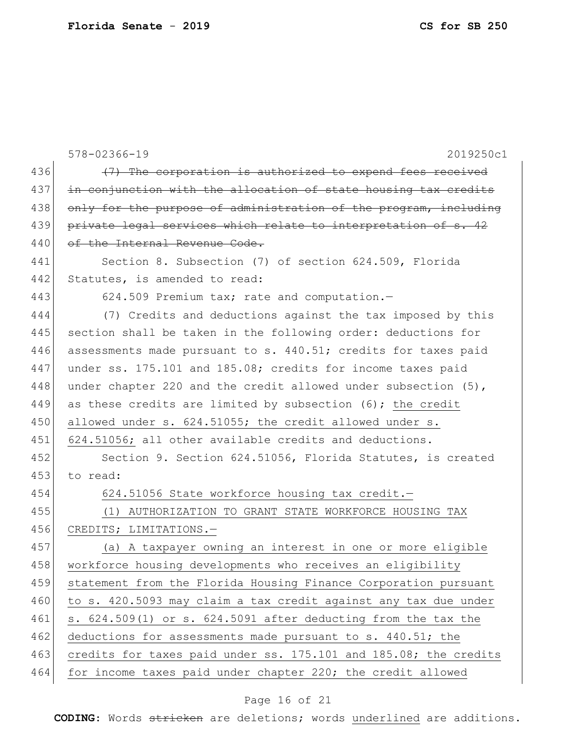|     | $578 - 02366 - 19$<br>2019250c1                                   |
|-----|-------------------------------------------------------------------|
| 436 | (7) The corporation is authorized to expend fees received         |
| 437 | in conjunction with the allocation of state housing tax credits   |
| 438 | only for the purpose of administration of the program, including  |
| 439 | private legal services which relate to interpretation of s. 42    |
| 440 | of the Internal Revenue Code.                                     |
| 441 | Section 8. Subsection (7) of section 624.509, Florida             |
| 442 | Statutes, is amended to read:                                     |
| 443 | 624.509 Premium tax; rate and computation.-                       |
| 444 | (7) Credits and deductions against the tax imposed by this        |
| 445 | section shall be taken in the following order: deductions for     |
| 446 | assessments made pursuant to s. 440.51; credits for taxes paid    |
| 447 | under ss. 175.101 and 185.08; credits for income taxes paid       |
| 448 | under chapter 220 and the credit allowed under subsection $(5)$ , |
| 449 | as these credits are limited by subsection (6); the credit        |
| 450 | allowed under s. 624.51055; the credit allowed under s.           |
| 451 | 624.51056; all other available credits and deductions.            |
| 452 | Section 9. Section 624.51056, Florida Statutes, is created        |
| 453 | to read:                                                          |
| 454 | 624.51056 State workforce housing tax credit.-                    |
| 455 | (1) AUTHORIZATION TO GRANT STATE WORKFORCE HOUSING TAX            |
| 456 | CREDITS; LIMITATIONS.-                                            |
| 457 | (a) A taxpayer owning an interest in one or more eligible         |
| 458 | workforce housing developments who receives an eligibility        |
| 459 | statement from the Florida Housing Finance Corporation pursuant   |
| 460 | to s. 420.5093 may claim a tax credit against any tax due under   |
| 461 | s. 624.509(1) or s. 624.5091 after deducting from the tax the     |
| 462 | deductions for assessments made pursuant to s. 440.51; the        |
| 463 | credits for taxes paid under ss. 175.101 and 185.08; the credits  |
| 464 | for income taxes paid under chapter 220; the credit allowed       |

# Page 16 of 21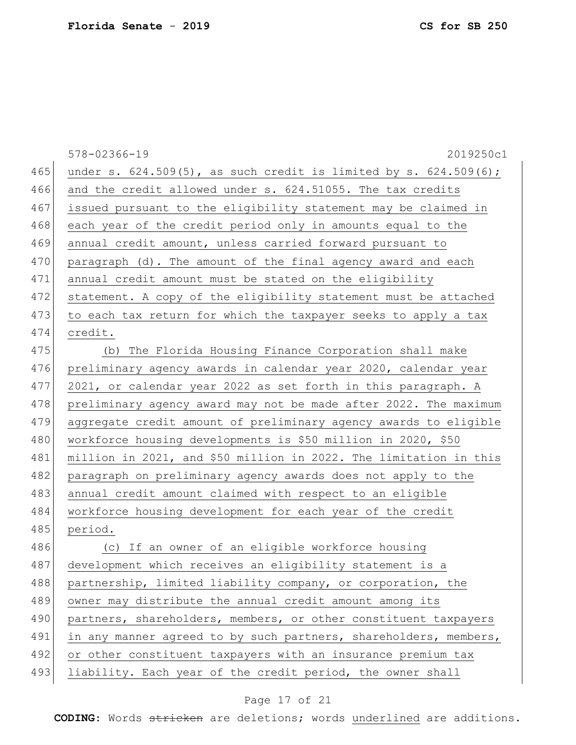|     | 578-02366-19<br>2019250c1                                              |
|-----|------------------------------------------------------------------------|
| 465 | under s. $624.509(5)$ , as such credit is limited by s. $624.509(6)$ ; |
| 466 | and the credit allowed under s. 624.51055. The tax credits             |
| 467 | issued pursuant to the eligibility statement may be claimed in         |
| 468 | each year of the credit period only in amounts equal to the            |
| 469 | annual credit amount, unless carried forward pursuant to               |
| 470 | paragraph (d). The amount of the final agency award and each           |
| 471 | annual credit amount must be stated on the eligibility                 |
| 472 | statement. A copy of the eligibility statement must be attached        |
| 473 | to each tax return for which the taxpayer seeks to apply a tax         |
| 474 | credit.                                                                |
| 475 | (b) The Florida Housing Finance Corporation shall make                 |
| 476 | preliminary agency awards in calendar year 2020, calendar year         |
| 477 | 2021, or calendar year 2022 as set forth in this paragraph. A          |
| 478 | preliminary agency award may not be made after 2022. The maximum       |
| 479 | aggregate credit amount of preliminary agency awards to eligible       |
| 480 | workforce housing developments is \$50 million in 2020, \$50           |
| 481 | million in 2021, and \$50 million in 2022. The limitation in this      |
| 482 | paragraph on preliminary agency awards does not apply to the           |
| 483 | annual credit amount claimed with respect to an eligible               |
| 484 | workforce housing development for each year of the credit              |
| 485 | period.                                                                |
| 486 | (c) If an owner of an eligible workforce housing                       |
| 487 | development which receives an eligibility statement is a               |
| 488 | partnership, limited liability company, or corporation, the            |
| 489 | owner may distribute the annual credit amount among its                |
| 490 | partners, shareholders, members, or other constituent taxpayers        |
| 491 | in any manner agreed to by such partners, shareholders, members,       |
| 492 | or other constituent taxpayers with an insurance premium tax           |
| 493 | liability. Each year of the credit period, the owner shall             |
|     |                                                                        |

# Page 17 of 21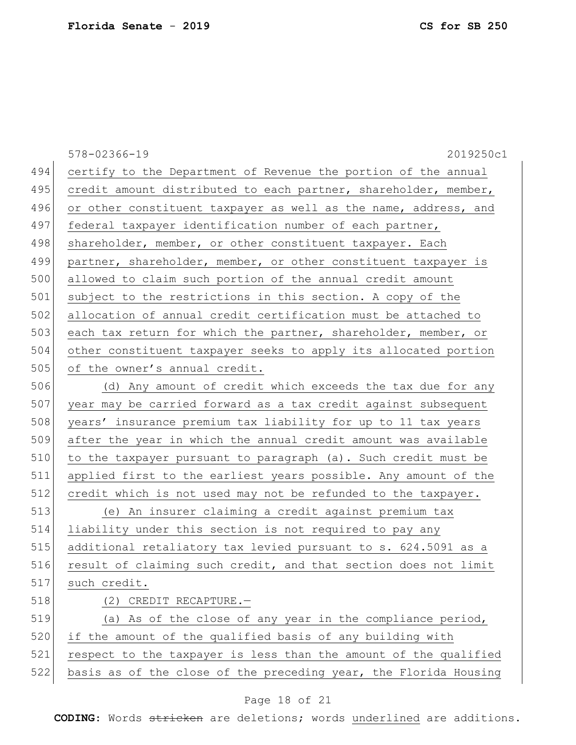|     | 2019250c1<br>578-02366-19                                        |
|-----|------------------------------------------------------------------|
| 494 | certify to the Department of Revenue the portion of the annual   |
| 495 | credit amount distributed to each partner, shareholder, member,  |
| 496 | or other constituent taxpayer as well as the name, address, and  |
| 497 | federal taxpayer identification number of each partner,          |
| 498 | shareholder, member, or other constituent taxpayer. Each         |
| 499 | partner, shareholder, member, or other constituent taxpayer is   |
| 500 | allowed to claim such portion of the annual credit amount        |
| 501 | subject to the restrictions in this section. A copy of the       |
| 502 | allocation of annual credit certification must be attached to    |
| 503 | each tax return for which the partner, shareholder, member, or   |
| 504 | other constituent taxpayer seeks to apply its allocated portion  |
| 505 | of the owner's annual credit.                                    |
| 506 | (d) Any amount of credit which exceeds the tax due for any       |
| 507 | year may be carried forward as a tax credit against subsequent   |
| 508 | years' insurance premium tax liability for up to 11 tax years    |
| 509 | after the year in which the annual credit amount was available   |
| 510 | to the taxpayer pursuant to paragraph (a). Such credit must be   |
| 511 | applied first to the earliest years possible. Any amount of the  |
| 512 | credit which is not used may not be refunded to the taxpayer.    |
| 513 | (e) An insurer claiming a credit against premium tax             |
| 514 | liability under this section is not required to pay any          |
| 515 | additional retaliatory tax levied pursuant to s. 624.5091 as a   |
| 516 | result of claiming such credit, and that section does not limit  |
| 517 | such credit.                                                     |
| 518 | $(2)$ CREDIT RECAPTURE. -                                        |
| 519 | (a) As of the close of any year in the compliance period,        |
| 520 | if the amount of the qualified basis of any building with        |
| 521 | respect to the taxpayer is less than the amount of the qualified |
| 522 | basis as of the close of the preceding year, the Florida Housing |
|     |                                                                  |

# Page 18 of 21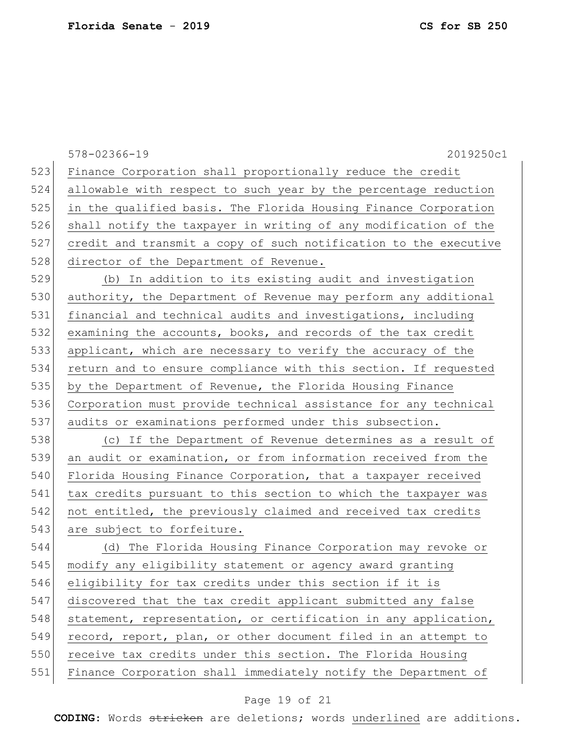578-02366-19 2019250c1 523 Finance Corporation shall proportionally reduce the credit 524 allowable with respect to such year by the percentage reduction 525 in the qualified basis. The Florida Housing Finance Corporation 526 shall notify the taxpayer in writing of any modification of the 527 credit and transmit a copy of such notification to the executive 528 director of the Department of Revenue. 529 (b) In addition to its existing audit and investigation 530 authority, the Department of Revenue may perform any additional 531 financial and technical audits and investigations, including 532 examining the accounts, books, and records of the tax credit 533 applicant, which are necessary to verify the accuracy of the 534 return and to ensure compliance with this section. If requested 535 by the Department of Revenue, the Florida Housing Finance 536 Corporation must provide technical assistance for any technical 537 audits or examinations performed under this subsection. 538 (c) If the Department of Revenue determines as a result of 539 an audit or examination, or from information received from the 540 Florida Housing Finance Corporation, that a taxpayer received 541 tax credits pursuant to this section to which the taxpayer was 542 not entitled, the previously claimed and received tax credits 543 are subject to forfeiture. 544 (d) The Florida Housing Finance Corporation may revoke or 545 modify any eligibility statement or agency award granting 546 eligibility for tax credits under this section if it is 547 discovered that the tax credit applicant submitted any false 548 statement, representation, or certification in any application, 549 record, report, plan, or other document filed in an attempt to 550 receive tax credits under this section. The Florida Housing 551 Finance Corporation shall immediately notify the Department of

### Page 19 of 21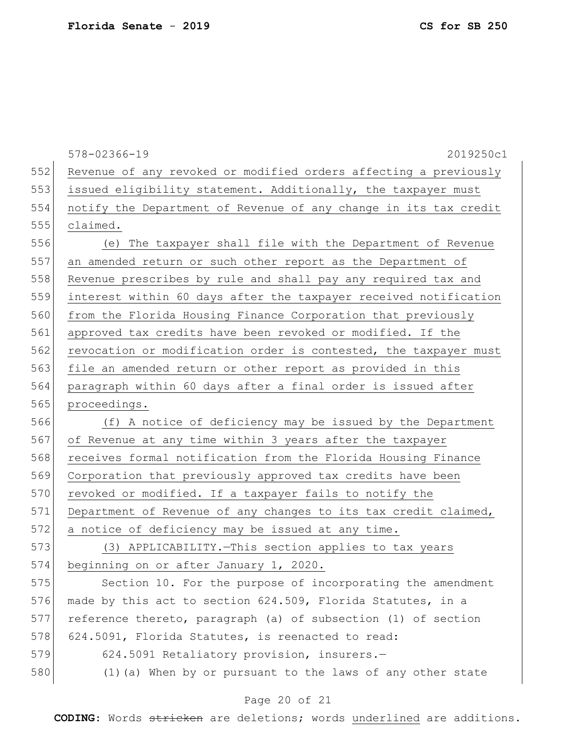578-02366-19 2019250c1 552 Revenue of any revoked or modified orders affecting a previously 553 issued eligibility statement. Additionally, the taxpayer must 554 notify the Department of Revenue of any change in its tax credit 555 claimed. 556 (e) The taxpayer shall file with the Department of Revenue 557 an amended return or such other report as the Department of 558 Revenue prescribes by rule and shall pay any required tax and 559 interest within 60 days after the taxpayer received notification 560 from the Florida Housing Finance Corporation that previously 561 approved tax credits have been revoked or modified. If the 562 revocation or modification order is contested, the taxpayer must 563 file an amended return or other report as provided in this 564 paragraph within 60 days after a final order is issued after 565 proceedings. 566 (f) A notice of deficiency may be issued by the Department 567 of Revenue at any time within 3 years after the taxpayer 568 receives formal notification from the Florida Housing Finance 569 Corporation that previously approved tax credits have been 570 revoked or modified. If a taxpayer fails to notify the 571 Department of Revenue of any changes to its tax credit claimed, 572 a notice of deficiency may be issued at any time. 573 (3) APPLICABILITY. - This section applies to tax years 574 beginning on or after January 1, 2020. 575 Section 10. For the purpose of incorporating the amendment 576 made by this act to section 624.509, Florida Statutes, in a 577 reference thereto, paragraph (a) of subsection (1) of section 578 624.5091, Florida Statutes, is reenacted to read: 579 624.5091 Retaliatory provision, insurers.-580 (1) (a) When by or pursuant to the laws of any other state

### Page 20 of 21